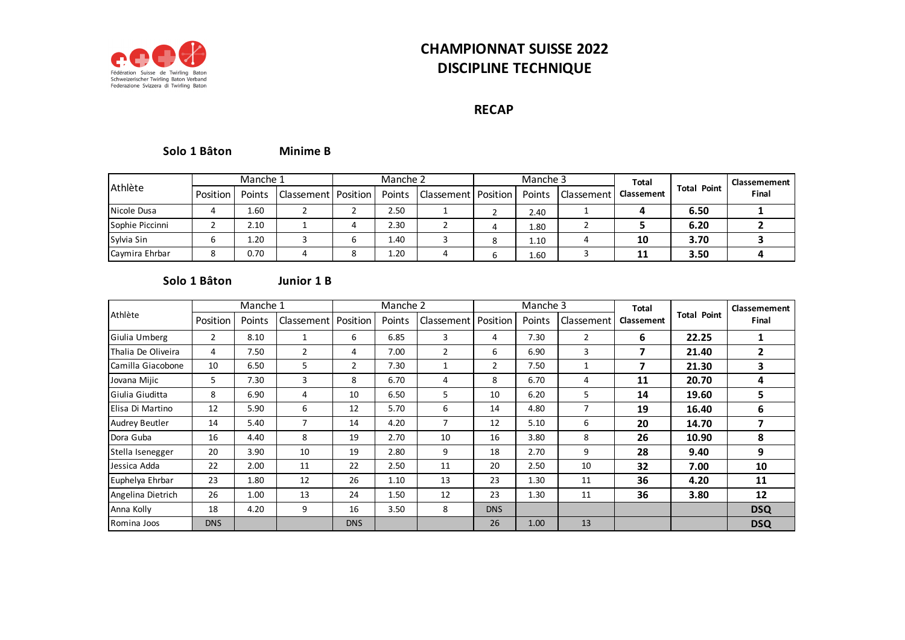

# **CHAMPIONNAT SUISSE 2022 DISCIPLINE TECHNIQUE**

### **RECAP**

#### **Minime B Solo 1 Bâton**

|                 |          | Manche 1 |                       | Manche 2 |      |                                |   | Manche 3 |            | <b>Total</b> |                    | Classemement |
|-----------------|----------|----------|-----------------------|----------|------|--------------------------------|---|----------|------------|--------------|--------------------|--------------|
| Athlète         | Position | Points   | Classement   Position |          |      | Points   Classement   Position |   | Points   | Classement | Classement   | <b>Total Point</b> | Final        |
| Nicole Dusa     | 4        | .60 د    |                       |          | 2.50 |                                |   | 2.40     |            |              | 6.50               |              |
| Sophie Piccinni |          | 2.10     |                       |          | 2.30 |                                |   | 1.80     |            |              | 6.20               |              |
| Sylvia Sin      | ь        | 1.20     |                       |          | 1.40 |                                | Ο | 1.10     |            | 10           | 3.70               |              |
| Caymira Ehrbar  | Ο        | 0.70     |                       |          | 1.20 |                                |   | 1.60     |            | 11           | 3.50               |              |

#### **Junior 1 B Solo 1 Bâton**

|                       |                | Manche 1 |                       |                | Manche 2      |                |                | Manche 3 |                | <b>Total</b>      |                    | Classemement  |
|-----------------------|----------------|----------|-----------------------|----------------|---------------|----------------|----------------|----------|----------------|-------------------|--------------------|---------------|
| Athlète               | Position       | Points   | Classement   Position |                | <b>Points</b> | Classement     | Position       | Points   | Classement     | <b>Classement</b> | <b>Total Point</b> | Final         |
| Giulia Umberg         | $\overline{2}$ | 8.10     |                       | 6              | 6.85          | 3              | 4              | 7.30     | $\overline{2}$ | 6                 | 22.25              |               |
| Thalia De Oliveira    | 4              | 7.50     | $\overline{2}$        | 4              | 7.00          | $\overline{2}$ | 6              | 6.90     | 3              | 7                 | 21.40              | $\mathfrak z$ |
| Camilla Giacobone     | 10             | 6.50     | 5                     | $\overline{2}$ | 7.30          | 1              | $\overline{2}$ | 7.50     |                | 7                 | 21.30              | 3             |
| Jovana Mijic          | 5              | 7.30     | 3                     | 8              | 6.70          | 4              | 8              | 6.70     | 4              | 11                | 20.70              | 4             |
| Giulia Giuditta       | 8              | 6.90     | 4                     | 10             | 6.50          | 5              | 10             | 6.20     | 5              | 14                | 19.60              | 5.            |
| Elisa Di Martino      | 12             | 5.90     | 6                     | 12             | 5.70          | 6              | 14             | 4.80     | 7              | 19                | 16.40              | 6             |
| <b>Audrey Beutler</b> | 14             | 5.40     | 7                     | 14             | 4.20          | $\overline{7}$ | 12             | 5.10     | 6              | 20                | 14.70              |               |
| Dora Guba             | 16             | 4.40     | 8                     | 19             | 2.70          | 10             | 16             | 3.80     | 8              | 26                | 10.90              | 8             |
| Stella Isenegger      | 20             | 3.90     | 10                    | 19             | 2.80          | 9              | 18             | 2.70     | 9              | 28                | 9.40               | 9             |
| Jessica Adda          | 22             | 2.00     | 11                    | 22             | 2.50          | 11             | 20             | 2.50     | 10             | 32                | 7.00               | 10            |
| Euphelya Ehrbar       | 23             | 1.80     | 12                    | 26             | 1.10          | 13             | 23             | 1.30     | 11             | 36                | 4.20               | 11            |
| Angelina Dietrich     | 26             | 1.00     | 13                    | 24             | 1.50          | 12             | 23             | 1.30     | 11             | 36                | 3.80               | 12            |
| Anna Kolly            | 18             | 4.20     | 9                     | 16             | 3.50          | 8              | <b>DNS</b>     |          |                |                   |                    | <b>DSQ</b>    |
| Romina Joos           | <b>DNS</b>     |          |                       | <b>DNS</b>     |               |                | 26             | 1.00     | 13             |                   |                    | <b>DSQ</b>    |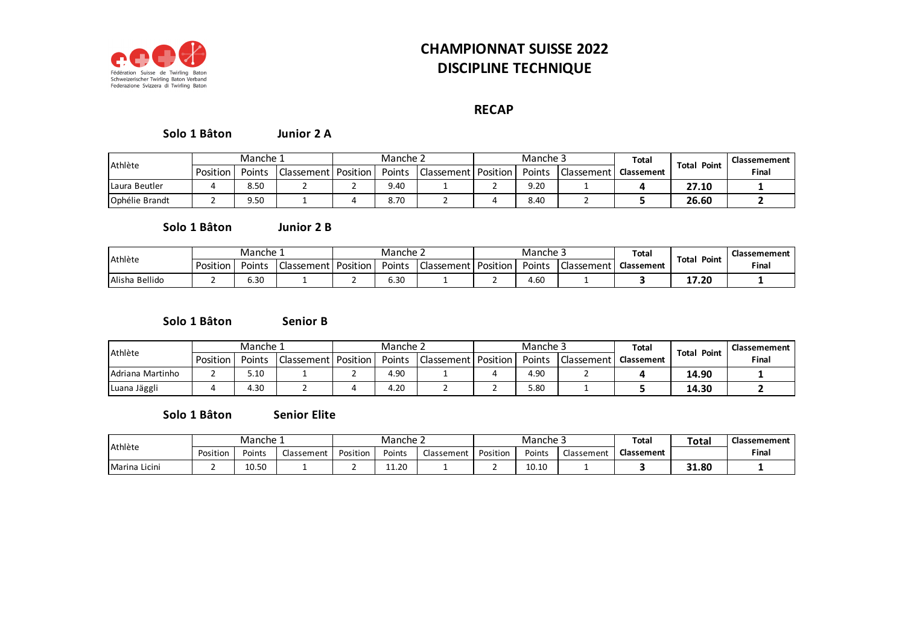

# **CHAMPIONNAT SUISSE 2022 DISCIPLINE TECHNIQUE**

### **RECAP**

#### **Junior 2 A Solo 1 Bâton**

| Athlète        | Manche 1 |        |                       | Manche 2 |        |            |          | Manche 3 |            | Total             |                | Classemement |
|----------------|----------|--------|-----------------------|----------|--------|------------|----------|----------|------------|-------------------|----------------|--------------|
|                | Position | Points | Classement   Position |          | Points | Classement | Position | Points   | Classement | <b>Classement</b> | Total<br>Point | Final        |
| Laura Beutler  |          | 8.50   |                       |          | 9.40   |            |          | 9.20     |            |                   | 27.10          |              |
| Ophélie Brandt |          | 9.50   |                       |          | 8.70   |            |          | 8.40     |            |                   | 26.60          |              |

#### **Junior 2 B Solo 1 Bâton**

| Athlète        |          | Manche 1 |              | Manche 2 |        |                       | Manche 5 |            | Total             |                       | Classemement |
|----------------|----------|----------|--------------|----------|--------|-----------------------|----------|------------|-------------------|-----------------------|--------------|
|                | Position | Points   | - Classement | Position | Points | Classement   Position | Points   | Classement | <b>Classement</b> | <b>Total</b><br>Point | Final        |
| Alisha Bellido |          | 5.30     |              |          | 6.30   |                       | 4.60     |            |                   | 17.20                 |              |

#### **Senior B Solo 1 Bâton**

| Athlète          | Manche 1 |        |                                | Manche 2 |        |                         | Manche 3 |              | Total             | Point<br>Total | Classemement |
|------------------|----------|--------|--------------------------------|----------|--------|-------------------------|----------|--------------|-------------------|----------------|--------------|
|                  | Position | Points | <b>Classement   Position  </b> |          | Points | l Classement   Position | Points   | Classement I | <b>Classement</b> |                | Final        |
| Adriana Martinho |          | 5.10   |                                |          | 4.90   |                         | 4.9C     |              |                   | 14.90          |              |
| Luana Jäggli     |          | 1.30   |                                |          | 4.20   |                         | 5.80     |              |                   | 14.30          |              |

#### **Senior Elite Solo 1 Bâton**

| Athlète       | Manche 1 |        |            | Manche 2 |        |            |          | Manche 5 |            | Total             | <b>Total</b> | Classemement |
|---------------|----------|--------|------------|----------|--------|------------|----------|----------|------------|-------------------|--------------|--------------|
|               | Position | Points | Classement | Position | Points | Classement | Position | Points   | Classement | <b>Classement</b> |              | Final        |
| Marina Licini |          | 10.50  |            | -        | 11.20  |            |          | 10.10    |            |                   | 31.80        |              |